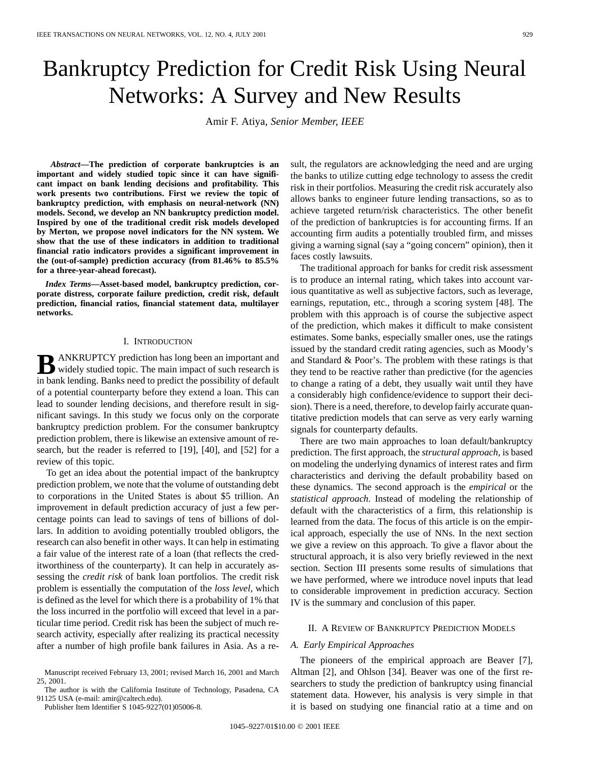# Bankruptcy Prediction for Credit Risk Using Neural Networks: A Survey and New Results

Amir F. Atiya*, Senior Member, IEEE*

*Abstract—***The prediction of corporate bankruptcies is an important and widely studied topic since it can have significant impact on bank lending decisions and profitability. This work presents two contributions. First we review the topic of bankruptcy prediction, with emphasis on neural-network (NN) models. Second, we develop an NN bankruptcy prediction model. Inspired by one of the traditional credit risk models developed by Merton, we propose novel indicators for the NN system. We show that the use of these indicators in addition to traditional financial ratio indicators provides a significant improvement in the (out-of-sample) prediction accuracy (from 81.46% to 85.5% for a three-year-ahead forecast).**

*Index Terms—***Asset-based model, bankruptcy prediction, corporate distress, corporate failure prediction, credit risk, default prediction, financial ratios, financial statement data, multilayer networks.**

### I. INTRODUCTION

**B** ANKRUPTCY prediction has long been an important and widely studied topic. The main impact of such research is in bank lending. Banks need to predict the possibility of default of a potential counterparty before they extend a loan. This can lead to sounder lending decisions, and therefore result in significant savings. In this study we focus only on the corporate bankruptcy prediction problem. For the consumer bankruptcy prediction problem, there is likewise an extensive amount of research, but the reader is referred to [19], [40], and [52] for a review of this topic.

To get an idea about the potential impact of the bankruptcy prediction problem, we note that the volume of outstanding debt to corporations in the United States is about \$5 trillion. An improvement in default prediction accuracy of just a few percentage points can lead to savings of tens of billions of dollars. In addition to avoiding potentially troubled obligors, the research can also benefit in other ways. It can help in estimating a fair value of the interest rate of a loan (that reflects the creditworthiness of the counterparty). It can help in accurately assessing the *credit risk* of bank loan portfolios. The credit risk problem is essentially the computation of the *loss level*, which is defined as the level for which there is a probability of 1% that the loss incurred in the portfolio will exceed that level in a particular time period. Credit risk has been the subject of much research activity, especially after realizing its practical necessity after a number of high profile bank failures in Asia. As a re-

The author is with the California Institute of Technology, Pasadena, CA 91125 USA (e-mail: amir@caltech.edu).

Publisher Item Identifier S 1045-9227(01)05006-8.

sult, the regulators are acknowledging the need and are urging the banks to utilize cutting edge technology to assess the credit risk in their portfolios. Measuring the credit risk accurately also allows banks to engineer future lending transactions, so as to achieve targeted return/risk characteristics. The other benefit of the prediction of bankruptcies is for accounting firms. If an accounting firm audits a potentially troubled firm, and misses giving a warning signal (say a "going concern" opinion), then it faces costly lawsuits.

The traditional approach for banks for credit risk assessment is to produce an internal rating, which takes into account various quantitative as well as subjective factors, such as leverage, earnings, reputation, etc., through a scoring system [48]. The problem with this approach is of course the subjective aspect of the prediction, which makes it difficult to make consistent estimates. Some banks, especially smaller ones, use the ratings issued by the standard credit rating agencies, such as Moody's and Standard & Poor's. The problem with these ratings is that they tend to be reactive rather than predictive (for the agencies to change a rating of a debt, they usually wait until they have a considerably high confidence/evidence to support their decision). There is a need, therefore, to develop fairly accurate quantitative prediction models that can serve as very early warning signals for counterparty defaults.

There are two main approaches to loan default/bankruptcy prediction. The first approach, the *structural approach*, is based on modeling the underlying dynamics of interest rates and firm characteristics and deriving the default probability based on these dynamics. The second approach is the *empirical* or the *statistical approach*. Instead of modeling the relationship of default with the characteristics of a firm, this relationship is learned from the data. The focus of this article is on the empirical approach, especially the use of NNs. In the next section we give a review on this approach. To give a flavor about the structural approach, it is also very briefly reviewed in the next section. Section III presents some results of simulations that we have performed, where we introduce novel inputs that lead to considerable improvement in prediction accuracy. Section IV is the summary and conclusion of this paper.

### II. A REVIEW OF BANKRUPTCY PREDICTION MODELS

## *A. Early Empirical Approaches*

The pioneers of the empirical approach are Beaver [7], Altman [2], and Ohlson [34]. Beaver was one of the first researchers to study the prediction of bankruptcy using financial statement data. However, his analysis is very simple in that it is based on studying one financial ratio at a time and on

Manuscript received February 13, 2001; revised March 16, 2001 and March 25, 2001.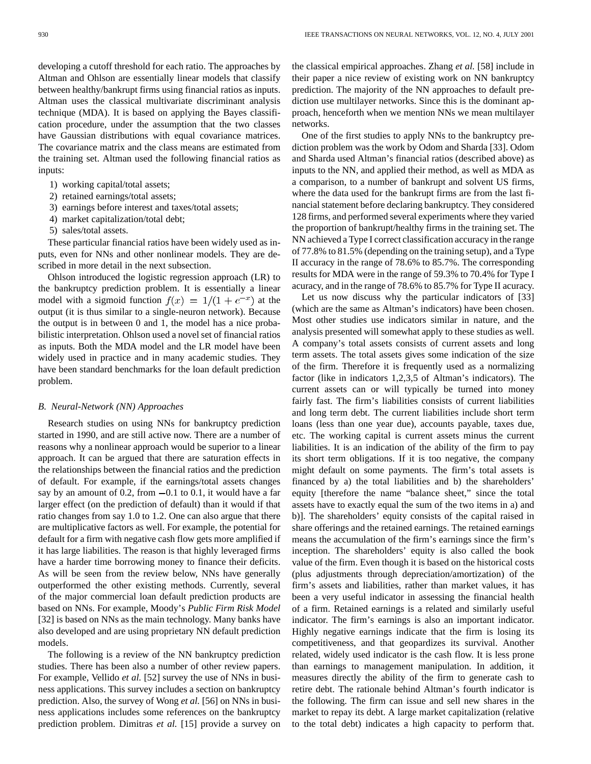developing a cutoff threshold for each ratio. The approaches by Altman and Ohlson are essentially linear models that classify between healthy/bankrupt firms using financial ratios as inputs. Altman uses the classical multivariate discriminant analysis technique (MDA). It is based on applying the Bayes classification procedure, under the assumption that the two classes have Gaussian distributions with equal covariance matrices. The covariance matrix and the class means are estimated from the training set. Altman used the following financial ratios as inputs:

- 1) working capital/total assets;
- 2) retained earnings/total assets;
- 3) earnings before interest and taxes/total assets;
- 4) market capitalization/total debt;
- 5) sales/total assets.

These particular financial ratios have been widely used as inputs, even for NNs and other nonlinear models. They are described in more detail in the next subsection.

Ohlson introduced the logistic regression approach (LR) to the bankruptcy prediction problem. It is essentially a linear model with a sigmoid function  $f(x) = 1/(1 + e^{-x})$  at the output (it is thus similar to a single-neuron network). Because the output is in between 0 and 1, the model has a nice probabilistic interpretation. Ohlson used a novel set of financial ratios as inputs. Both the MDA model and the LR model have been widely used in practice and in many academic studies. They have been standard benchmarks for the loan default prediction problem.

## *B. Neural-Network (NN) Approaches*

Research studies on using NNs for bankruptcy prediction started in 1990, and are still active now. There are a number of reasons why a nonlinear approach would be superior to a linear approach. It can be argued that there are saturation effects in the relationships between the financial ratios and the prediction of default. For example, if the earnings/total assets changes say by an amount of 0.2, from  $-0.1$  to 0.1, it would have a far larger effect (on the prediction of default) than it would if that ratio changes from say 1.0 to 1.2. One can also argue that there are multiplicative factors as well. For example, the potential for default for a firm with negative cash flow gets more amplified if it has large liabilities. The reason is that highly leveraged firms have a harder time borrowing money to finance their deficits. As will be seen from the review below, NNs have generally outperformed the other existing methods. Currently, several of the major commercial loan default prediction products are based on NNs. For example, Moody's *Public Firm Risk Model* [32] is based on NNs as the main technology. Many banks have also developed and are using proprietary NN default prediction models.

The following is a review of the NN bankruptcy prediction studies. There has been also a number of other review papers. For example, Vellido *et al.* [52] survey the use of NNs in business applications. This survey includes a section on bankruptcy prediction. Also, the survey of Wong *et al.* [56] on NNs in business applications includes some references on the bankruptcy prediction problem. Dimitras *et al.* [15] provide a survey on the classical empirical approaches. Zhang *et al.* [58] include in their paper a nice review of existing work on NN bankruptcy prediction. The majority of the NN approaches to default prediction use multilayer networks. Since this is the dominant approach, henceforth when we mention NNs we mean multilayer networks.

One of the first studies to apply NNs to the bankruptcy prediction problem was the work by Odom and Sharda [33]. Odom and Sharda used Altman's financial ratios (described above) as inputs to the NN, and applied their method, as well as MDA as a comparison, to a number of bankrupt and solvent US firms, where the data used for the bankrupt firms are from the last financial statement before declaring bankruptcy. They considered 128 firms, and performed several experiments where they varied the proportion of bankrupt/healthy firms in the training set. The NN achieved a Type I correct classification accuracy in the range of 77.8% to 81.5% (depending on the training setup), and a Type II accuracy in the range of 78.6% to 85.7%. The corresponding results for MDA were in the range of 59.3% to 70.4% for Type I acuracy, and in the range of 78.6% to 85.7% for Type II acuracy.

Let us now discuss why the particular indicators of [33] (which are the same as Altman's indicators) have been chosen. Most other studies use indicators similar in nature, and the analysis presented will somewhat apply to these studies as well. A company's total assets consists of current assets and long term assets. The total assets gives some indication of the size of the firm. Therefore it is frequently used as a normalizing factor (like in indicators 1,2,3,5 of Altman's indicators). The current assets can or will typically be turned into money fairly fast. The firm's liabilities consists of current liabilities and long term debt. The current liabilities include short term loans (less than one year due), accounts payable, taxes due, etc. The working capital is current assets minus the current liabilities. It is an indication of the ability of the firm to pay its short term obligations. If it is too negative, the company might default on some payments. The firm's total assets is financed by a) the total liabilities and b) the shareholders' equity [therefore the name "balance sheet," since the total assets have to exactly equal the sum of the two items in a) and b)]. The shareholders' equity consists of the capital raised in share offerings and the retained earnings. The retained earnings means the accumulation of the firm's earnings since the firm's inception. The shareholders' equity is also called the book value of the firm. Even though it is based on the historical costs (plus adjustments through depreciation/amortization) of the firm's assets and liabilities, rather than market values, it has been a very useful indicator in assessing the financial health of a firm. Retained earnings is a related and similarly useful indicator. The firm's earnings is also an important indicator. Highly negative earnings indicate that the firm is losing its competitiveness, and that geopardizes its survival. Another related, widely used indicator is the cash flow. It is less prone than earnings to management manipulation. In addition, it measures directly the ability of the firm to generate cash to retire debt. The rationale behind Altman's fourth indicator is the following. The firm can issue and sell new shares in the market to repay its debt. A large market capitalization (relative to the total debt) indicates a high capacity to perform that.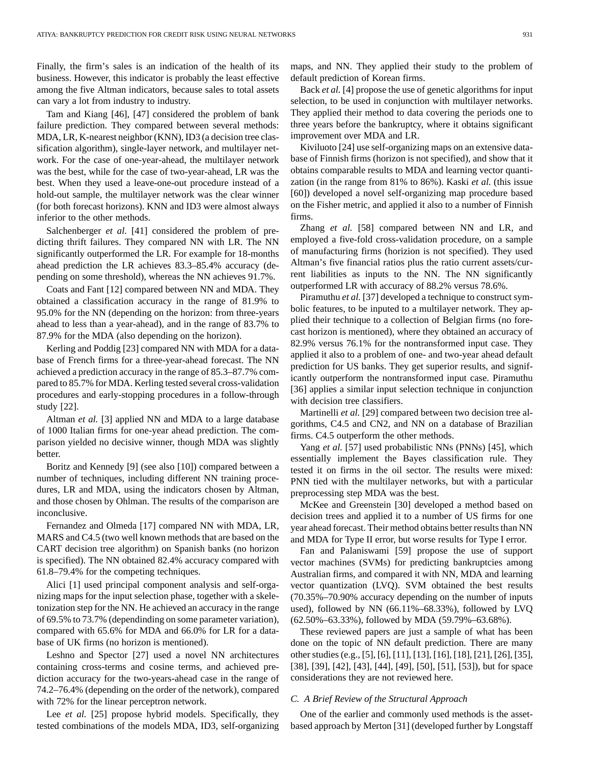Finally, the firm's sales is an indication of the health of its business. However, this indicator is probably the least effective among the five Altman indicators, because sales to total assets can vary a lot from industry to industry.

Tam and Kiang [46], [47] considered the problem of bank failure prediction. They compared between several methods: MDA, LR, K-nearest neighbor (KNN), ID3 (a decision tree classification algorithm), single-layer network, and multilayer network. For the case of one-year-ahead, the multilayer network was the best, while for the case of two-year-ahead, LR was the best. When they used a leave-one-out procedure instead of a hold-out sample, the multilayer network was the clear winner (for both forecast horizons). KNN and ID3 were almost always inferior to the other methods.

Salchenberger *et al.* [41] considered the problem of predicting thrift failures. They compared NN with LR. The NN significantly outperformed the LR. For example for 18-months ahead prediction the LR achieves 83.3–85.4% accuracy (depending on some threshold), whereas the NN achieves 91.7%.

Coats and Fant [12] compared between NN and MDA. They obtained a classification accuracy in the range of 81.9% to 95.0% for the NN (depending on the horizon: from three-years ahead to less than a year-ahead), and in the range of 83.7% to 87.9% for the MDA (also depending on the horizon).

Kerling and Poddig [23] compared NN with MDA for a database of French firms for a three-year-ahead forecast. The NN achieved a prediction accuracy in the range of 85.3–87.7% compared to 85.7% for MDA. Kerling tested several cross-validation procedures and early-stopping procedures in a follow-through study [22].

Altman *et al.* [3] applied NN and MDA to a large database of 1000 Italian firms for one-year ahead prediction. The comparison yielded no decisive winner, though MDA was slightly better.

Boritz and Kennedy [9] (see also [10]) compared between a number of techniques, including different NN training procedures, LR and MDA, using the indicators chosen by Altman, and those chosen by Ohlman. The results of the comparison are inconclusive.

Fernandez and Olmeda [17] compared NN with MDA, LR, MARS and C4.5 (two well known methods that are based on the CART decision tree algorithm) on Spanish banks (no horizon is specified). The NN obtained 82.4% accuracy compared with 61.8–79.4% for the competing techniques.

Alici [1] used principal component analysis and self-organizing maps for the input selection phase, together with a skeletonization step for the NN. He achieved an accuracy in the range of 69.5% to 73.7% (dependinding on some parameter variation), compared with 65.6% for MDA and 66.0% for LR for a database of UK firms (no horizon is mentioned).

Leshno and Spector [27] used a novel NN architectures containing cross-terms and cosine terms, and achieved prediction accuracy for the two-years-ahead case in the range of 74.2–76.4% (depending on the order of the network), compared with  $72\%$  for the linear perceptron network.

Lee *et al.* [25] propose hybrid models. Specifically, they tested combinations of the models MDA, ID3, self-organizing maps, and NN. They applied their study to the problem of default prediction of Korean firms.

Back *et al.* [4] propose the use of genetic algorithms for input selection, to be used in conjunction with multilayer networks. They applied their method to data covering the periods one to three years before the bankruptcy, where it obtains significant improvement over MDA and LR.

Kiviluoto [24] use self-organizing maps on an extensive database of Finnish firms (horizon is not specified), and show that it obtains comparable results to MDA and learning vector quantization (in the range from 81% to 86%). Kaski *et al.* (this issue [60]) developed a novel self-organizing map procedure based on the Fisher metric, and applied it also to a number of Finnish firms.

Zhang *et al.* [58] compared between NN and LR, and employed a five-fold cross-validation procedure, on a sample of manufacturing firms (horizion is not specified). They used Altman's five financial ratios plus the ratio current assets/current liabilities as inputs to the NN. The NN significantly outperformed LR with accuracy of 88.2% versus 78.6%.

Piramuthu *et al.* [37] developed a technique to construct symbolic features, to be inputed to a multilayer network. They applied their technique to a collection of Belgian firms (no forecast horizon is mentioned), where they obtained an accuracy of 82.9% versus 76.1% for the nontransformed input case. They applied it also to a problem of one- and two-year ahead default prediction for US banks. They get superior results, and significantly outperform the nontransformed input case. Piramuthu [36] applies a similar input selection technique in conjunction with decision tree classifiers.

Martinelli *et al.* [29] compared between two decision tree algorithms, C4.5 and CN2, and NN on a database of Brazilian firms. C4.5 outperform the other methods.

Yang *et al.* [57] used probabilistic NNs (PNNs) [45], which essentially implement the Bayes classification rule. They tested it on firms in the oil sector. The results were mixed: PNN tied with the multilayer networks, but with a particular preprocessing step MDA was the best.

McKee and Greenstein [30] developed a method based on decision trees and applied it to a number of US firms for one year ahead forecast. Their method obtains better results than NN and MDA for Type II error, but worse results for Type I error.

Fan and Palaniswami [59] propose the use of support vector machines (SVMs) for predicting bankruptcies among Australian firms, and compared it with NN, MDA and learning vector quantization (LVQ). SVM obtained the best results (70.35%–70.90% accuracy depending on the number of inputs used), followed by NN (66.11%–68.33%), followed by LVQ (62.50%–63.33%), followed by MDA (59.79%–63.68%).

These reviewed papers are just a sample of what has been done on the topic of NN default prediction. There are many other studies (e.g., [5], [6], [11], [13], [16], [18], [21], [26], [35], [38], [39], [42], [43], [44], [49], [50], [51], [53]), but for space considerations they are not reviewed here.

## *C. A Brief Review of the Structural Approach*

One of the earlier and commonly used methods is the assetbased approach by Merton [31] (developed further by Longstaff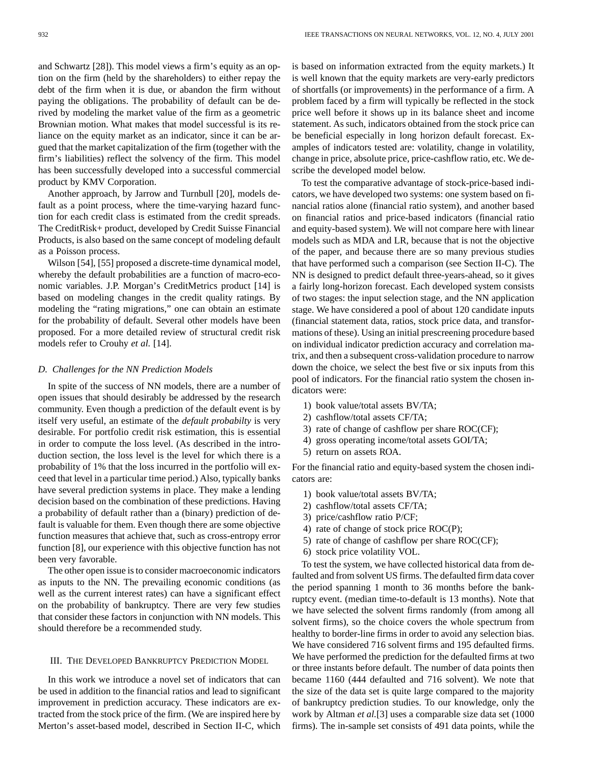and Schwartz [28]). This model views a firm's equity as an option on the firm (held by the shareholders) to either repay the debt of the firm when it is due, or abandon the firm without paying the obligations. The probability of default can be derived by modeling the market value of the firm as a geometric Brownian motion. What makes that model successful is its reliance on the equity market as an indicator, since it can be argued that the market capitalization of the firm (together with the firm's liabilities) reflect the solvency of the firm. This model has been successfully developed into a successful commercial product by KMV Corporation.

Another approach, by Jarrow and Turnbull [20], models default as a point process, where the time-varying hazard function for each credit class is estimated from the credit spreads. The CreditRisk+ product, developed by Credit Suisse Financial Products, is also based on the same concept of modeling default as a Poisson process.

Wilson [54], [55] proposed a discrete-time dynamical model, whereby the default probabilities are a function of macro-economic variables. J.P. Morgan's CreditMetrics product [14] is based on modeling changes in the credit quality ratings. By modeling the "rating migrations," one can obtain an estimate for the probability of default. Several other models have been proposed. For a more detailed review of structural credit risk models refer to Crouhy *et al.* [14].

#### *D. Challenges for the NN Prediction Models*

In spite of the success of NN models, there are a number of open issues that should desirably be addressed by the research community. Even though a prediction of the default event is by itself very useful, an estimate of the *default probabilty* is very desirable. For portfolio credit risk estimation, this is essential in order to compute the loss level. (As described in the introduction section, the loss level is the level for which there is a probability of 1% that the loss incurred in the portfolio will exceed that level in a particular time period.) Also, typically banks have several prediction systems in place. They make a lending decision based on the combination of these predictions. Having a probability of default rather than a (binary) prediction of default is valuable for them. Even though there are some objective function measures that achieve that, such as cross-entropy error function [8], our experience with this objective function has not been very favorable.

The other open issue is to consider macroeconomic indicators as inputs to the NN. The prevailing economic conditions (as well as the current interest rates) can have a significant effect on the probability of bankruptcy. There are very few studies that consider these factors in conjunction with NN models. This should therefore be a recommended study.

#### III. THE DEVELOPED BANKRUPTCY PREDICTION MODEL

In this work we introduce a novel set of indicators that can be used in addition to the financial ratios and lead to significant improvement in prediction accuracy. These indicators are extracted from the stock price of the firm. (We are inspired here by Merton's asset-based model, described in Section II-C, which is based on information extracted from the equity markets.) It is well known that the equity markets are very-early predictors of shortfalls (or improvements) in the performance of a firm. A problem faced by a firm will typically be reflected in the stock price well before it shows up in its balance sheet and income statement. As such, indicators obtained from the stock price can be beneficial especially in long horizon default forecast. Examples of indicators tested are: volatility, change in volatility, change in price, absolute price, price-cashflow ratio, etc. We describe the developed model below.

To test the comparative advantage of stock-price-based indicators, we have developed two systems: one system based on financial ratios alone (financial ratio system), and another based on financial ratios and price-based indicators (financial ratio and equity-based system). We will not compare here with linear models such as MDA and LR, because that is not the objective of the paper, and because there are so many previous studies that have performed such a comparison (see Section II-C). The NN is designed to predict default three-years-ahead, so it gives a fairly long-horizon forecast. Each developed system consists of two stages: the input selection stage, and the NN application stage. We have considered a pool of about 120 candidate inputs (financial statement data, ratios, stock price data, and transformations of these). Using an initial prescreening procedure based on individual indicator prediction accuracy and correlation matrix, and then a subsequent cross-validation procedure to narrow down the choice, we select the best five or six inputs from this pool of indicators. For the financial ratio system the chosen indicators were:

- 1) book value/total assets BV/TA;
- 2) cashflow/total assets CF/TA;
- 3) rate of change of cashflow per share ROC(CF);
- 4) gross operating income/total assets GOI/TA;
- 5) return on assets ROA.

For the financial ratio and equity-based system the chosen indicators are:

- 1) book value/total assets BV/TA;
- 2) cashflow/total assets CF/TA;
- 3) price/cashflow ratio P/CF;
- 4) rate of change of stock price ROC(P);
- 5) rate of change of cashflow per share ROC(CF);
- 6) stock price volatility VOL.

To test the system, we have collected historical data from defaulted and from solvent US firms. The defaulted firm data cover the period spanning 1 month to 36 months before the bankruptcy event. (median time-to-default is 13 months). Note that we have selected the solvent firms randomly (from among all solvent firms), so the choice covers the whole spectrum from healthy to border-line firms in order to avoid any selection bias. We have considered 716 solvent firms and 195 defaulted firms. We have performed the prediction for the defaulted firms at two or three instants before default. The number of data points then became 1160 (444 defaulted and 716 solvent). We note that the size of the data set is quite large compared to the majority of bankruptcy prediction studies. To our knowledge, only the work by Altman *et al.*[3] uses a comparable size data set (1000 firms). The in-sample set consists of 491 data points, while the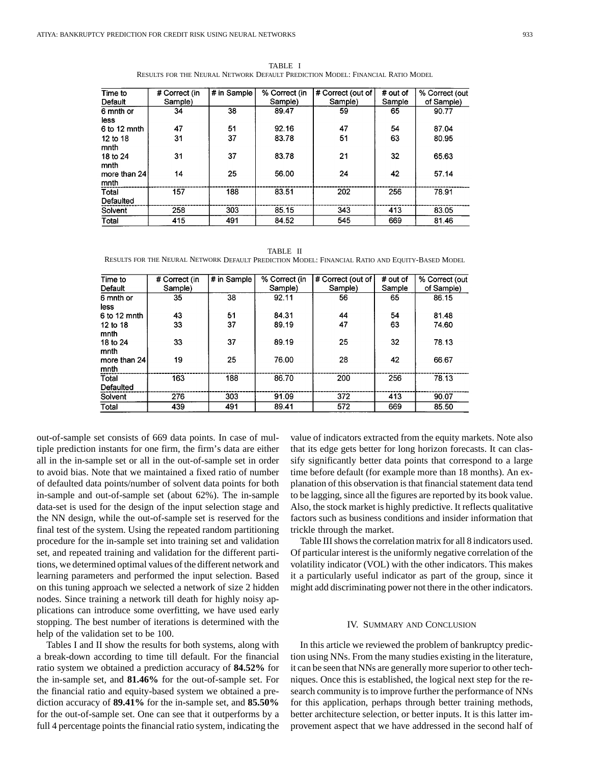TABLE I RESULTS FOR THE NEURAL NETWORK DEFAULT PREDICTION MODEL: FINANCIAL RATIO MODEL

| Time to              | # Correct (in | # in Sample | % Correct (in | # Correct (out of | # out of | % Correct (out |
|----------------------|---------------|-------------|---------------|-------------------|----------|----------------|
| Default              | Sample)       |             | Sample)       | Sample)           | Sample   | of Sample)     |
| 6 mnth or<br>less    | 34            | 38          | 89.47         | 59                | 65       | 90.77          |
| $6$ to 12 mnth       | 47            | 51          | 92.16         | 47                | 54       | 87.04          |
| 12 to 18<br>mnth     | 31            | 37          | 51<br>83.78   |                   | 63       | 80.95          |
| 18 to 24<br>mnth     | 31            | 37          | 83.78         | 21                | 32       | 65.63          |
| more than 24<br>mnth | 14            | 25          | 56.00         | 24                | 42       | 57.14          |
| Total<br>Defaulted   | 157           | 188         | 83.51         | 202               | 256      | 78.91          |
| Solvent              | 258           | 303         | 85.15         | 343               | 413      | 83.05          |
| Total                | 415           | 491         | 84.52         | 545               | 669      | 81.46          |

TABLE II

RESULTS FOR THE NEURAL NETWORK DEFAULT PREDICTION MODEL: FINANCIAL RATIO AND EQUITY-BASED MODEL

| Time to              | # Correct (in | # in Sample | % Correct (in | # Correct (out of | # out of | % Correct (out |
|----------------------|---------------|-------------|---------------|-------------------|----------|----------------|
| Default              | Sample)       |             | Sample)       | Sample)           | Sample   | of Sample)     |
| 6 mnth or<br>less    | 35            | 38          | 92.11         | 56                | 65       | 86.15          |
| $6$ to 12 mnth       | 43            | 51          | 84.31         | 44                | 54       | 81.48          |
| 12 to 18<br>mnth     | 33            | 37          | 89.19         | 47                | 63       | 74.60          |
| 18 to 24<br>mnth     | 33            | 37          | 89.19         | 25                | 32       | 78.13          |
| more than 24<br>mnth | 19            | 25          | 76.00         | 28                | 42       | 66.67          |
| Total<br>Defaulted   | 163           | 188         | 86.70         | 200               | 256      | 78.13          |
| Solvent              | 276           | 303         | 91.09         | 372               | 413      | 90.07          |
| Total                | 439           | 491         | 89.41         | 572               | 669      | 85.50          |

out-of-sample set consists of 669 data points. In case of multiple prediction instants for one firm, the firm's data are either all in the in-sample set or all in the out-of-sample set in order to avoid bias. Note that we maintained a fixed ratio of number of defaulted data points/number of solvent data points for both in-sample and out-of-sample set (about 62%). The in-sample data-set is used for the design of the input selection stage and the NN design, while the out-of-sample set is reserved for the final test of the system. Using the repeated random partitioning procedure for the in-sample set into training set and validation set, and repeated training and validation for the different partitions, we determined optimal values of the different network and learning parameters and performed the input selection. Based on this tuning approach we selected a network of size 2 hidden nodes. Since training a network till death for highly noisy applications can introduce some overfitting, we have used early stopping. The best number of iterations is determined with the help of the validation set to be 100.

Tables I and II show the results for both systems, along with a break-down according to time till default. For the financial ratio system we obtained a prediction accuracy of **84.52%** for the in-sample set, and **81.46%** for the out-of-sample set. For the financial ratio and equity-based system we obtained a prediction accuracy of **89.41%** for the in-sample set, and **85.50%** for the out-of-sample set. One can see that it outperforms by a full 4 percentage points the financial ratio system, indicating the

value of indicators extracted from the equity markets. Note also that its edge gets better for long horizon forecasts. It can classify significantly better data points that correspond to a large time before default (for example more than 18 months). An explanation of this observation is that financial statement data tend to be lagging, since all the figures are reported by its book value. Also, the stock market is highly predictive. It reflects qualitative factors such as business conditions and insider information that trickle through the market.

Table III shows the correlation matrix for all 8 indicators used. Of particular interest is the uniformly negative correlation of the volatility indicator (VOL) with the other indicators. This makes it a particularly useful indicator as part of the group, since it might add discriminating power not there in the other indicators.

## IV. SUMMARY AND CONCLUSION

In this article we reviewed the problem of bankruptcy prediction using NNs. From the many studies existing in the literature, it can be seen that NNs are generally more superior to other techniques. Once this is established, the logical next step for the research community is to improve further the performance of NNs for this application, perhaps through better training methods, better architecture selection, or better inputs. It is this latter improvement aspect that we have addressed in the second half of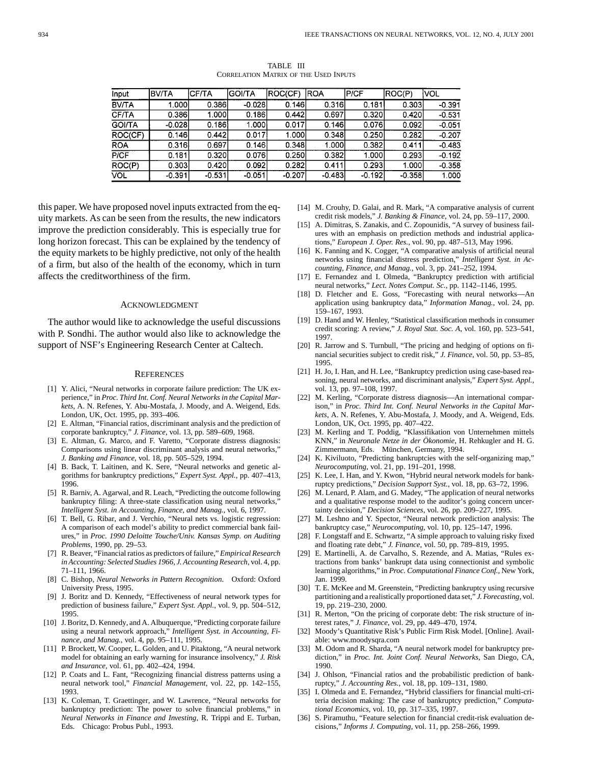| Input         | <b>BV/TA</b> | ІСF/TA   | IGOI/TA  | ROC(CF)  | <b>ROA</b> | IP/CF    | ROC(P)   | VOL      |
|---------------|--------------|----------|----------|----------|------------|----------|----------|----------|
| <b>BV/TA</b>  | 1.000        | 0.386    | $-0.028$ | 0.146    | 0.316      | 0.181    | 0.303    | $-0.391$ |
| CF/TA         | 0.386        | 1.000l   | 0.186    | 0.442    | 0.697      | 0.320    | 0.420    | $-0.531$ |
| <b>GOI/TA</b> | $-0.028$     | 0.186    | 1.000    | 0.017    | 0.146      | 0.076    | 0.092    | $-0.051$ |
| ROC(CF)       | 0.146        | 0.442    | 0.017    | 1.0001   | 0.348      | 0.250    | 0.282    | $-0.207$ |
| <b>ROA</b>    | 0.316        | 0.697    | 0.146    | 0.348    | 1.000l     | 0.382    | 0.411    | $-0.483$ |
| P/CF          | 0.181        | 0.320    | 0.076    | 0.250    | 0.382      | 1.000    | 0.293    | $-0.192$ |
| ROC(P)        | 0.303        | 0.420    | 0.092    | 0.282    | 0.411      | 0.293    | 1.000l   | $-0.358$ |
| VOL           | $-0.391$     | $-0.531$ | $-0.051$ | $-0.207$ | $-0.483$   | $-0.192$ | $-0.358$ | 1.000    |

TABLE III CORRELATION MATRIX OF THE USED INPUTS

this paper. We have proposed novel inputs extracted from the equity markets. As can be seen from the results, the new indicators improve the prediction considerably. This is especially true for long horizon forecast. This can be explained by the tendency of the equity markets to be highly predictive, not only of the health of a firm, but also of the health of the economy, which in turn affects the creditworthiness of the firm.

#### ACKNOWLEDGMENT

The author would like to acknowledge the useful discussions with P. Sondhi. The author would also like to acknowledge the support of NSF's Engineering Research Center at Caltech.

#### **REFERENCES**

- [1] Y. Alici, "Neural networks in corporate failure prediction: The UK experience," in *Proc. Third Int. Conf. Neural Networks in the Capital Markets*, A. N. Refenes, Y. Abu-Mostafa, J. Moody, and A. Weigend, Eds. London, UK, Oct. 1995, pp. 393–406.
- [2] E. Altman, "Financial ratios, discriminant analysis and the prediction of corporate bankruptcy," *J. Finance*, vol. 13, pp. 589–609, 1968.
- [3] E. Altman, G. Marco, and F. Varetto, "Corporate distress diagnosis: Comparisons using linear discriminant analysis and neural networks," *J. Banking and Finance*, vol. 18, pp. 505–529, 1994.
- [4] B. Back, T. Laitinen, and K. Sere, "Neural networks and genetic algorithms for bankruptcy predictions," *Expert Syst. Appl.*, pp. 407–413, 1996.
- [5] R. Barniv, A. Agarwal, and R. Leach, "Predicting the outcome following bankruptcy filing: A three-state classification using neural networks,' *Intelligent Syst. in Accounting, Finance, and Manag.*, vol. 6, 1997.
- [6] T. Bell, G. Ribar, and J. Verchio, "Neural nets vs. logistic regression: A comparison of each model's ability to predict commercial bank failures," in *Proc. 1990 Deloitte Touche/Univ. Kansas Symp. on Auditing Problems*, 1990, pp. 29–53.
- [7] R. Beaver, "Financial ratios as predictors of failure," *Empirical Research in Accounting: Selected Studies 1966, J. Accounting Research*, vol. 4, pp. 71–111, 1966.
- [8] C. Bishop, *Neural Networks in Pattern Recognition*. Oxford: Oxford University Press, 1995.
- [9] J. Boritz and D. Kennedy, "Effectiveness of neural network types for prediction of business failure," *Expert Syst. Appl.*, vol. 9, pp. 504–512, 1995.
- [10] J. Boritz, D. Kennedy, and A. Albuquerque, "Predicting corporate failure using a neural network approach," *Intelligent Syst. in Accounting, Finance, and Manag.*, vol. 4, pp. 95–111, 1995.
- [11] P. Brockett, W. Cooper, L. Golden, and U. Pitaktong, "A neural network model for obtaining an early warning for insurance insolvency," *J. Risk and Insurance*, vol. 61, pp. 402–424, 1994.
- [12] P. Coats and L. Fant, "Recognizing financial distress patterns using a neural network tool," *Financial Management*, vol. 22, pp. 142–155, 1993.
- [13] K. Coleman, T. Graettinger, and W. Lawrence, "Neural networks for bankruptcy prediction: The power to solve financial problems," in *Neural Networks in Finance and Investing*, R. Trippi and E. Turban, Eds. Chicago: Probus Publ., 1993.
- [14] M. Crouhy, D. Galai, and R. Mark, "A comparative analysis of current credit risk models," *J. Banking & Finance*, vol. 24, pp. 59–117, 2000.
- [15] A. Dimitras, S. Zanakis, and C. Zopounidis, "A survey of business failures with an emphasis on prediction methods and industrial applications," *European J. Oper. Res.*, vol. 90, pp. 487–513, May 1996.
- [16] K. Fanning and K. Cogger, "A comparative analysis of artificial neural networks using financial distress prediction," *Intelligent Syst. in Accounting, Finance, and Manag.*, vol. 3, pp. 241–252, 1994.
- [17] E. Fernandez and I. Olmeda, "Bankruptcy prediction with artificial neural networks," *Lect. Notes Comput. Sc.*, pp. 1142–1146, 1995.
- [18] D. Fletcher and E. Goss, "Forecasting with neural networks—An application using bankruptcy data," *Information Manag.*, vol. 24, pp. 159–167, 1993.
- [19] D. Hand and W. Henley, "Statistical classification methods in consumer credit scoring: A review," *J. Royal Stat. Soc. A*, vol. 160, pp. 523–541, 1997.
- [20] R. Jarrow and S. Turnbull, "The pricing and hedging of options on financial securities subject to credit risk," *J. Finance*, vol. 50, pp. 53–85, 1995.
- [21] H. Jo, I. Han, and H. Lee, "Bankruptcy prediction using case-based reasoning, neural networks, and discriminant analysis," *Expert Syst. Appl.*, vol. 13, pp. 97–108, 1997.
- [22] M. Kerling, "Corporate distress diagnosis—An international comparison," in *Proc. Third Int. Conf. Neural Networks in the Capital Markets*, A. N. Refenes, Y. Abu-Mostafa, J. Moody, and A. Weigend, Eds. London, UK, Oct. 1995, pp. 407–422.
- [23] M. Kerling and T. Poddig, "Klassifikation von Unternehmen mittels KNN," in *Neuronale Netze in der Ökonomie*, H. Rehkugler and H. G. Zimmermann, Eds. München, Germany, 1994.
- [24] K. Kiviluoto, "Predicting bankruptcies with the self-organizing map," *Neurocomputing*, vol. 21, pp. 191–201, 1998.
- [25] K. Lee, I. Han, and Y. Kwon, "Hybrid neural network models for bankruptcy predictions," *Decision Support Syst.*, vol. 18, pp. 63–72, 1996.
- [26] M. Lenard, P. Alam, and G. Madey, "The application of neural networks and a qualitative response model to the auditor's going concern uncertainty decision," *Decision Sciences*, vol. 26, pp. 209–227, 1995.
- [27] M. Leshno and Y. Spector, "Neural network prediction analysis: The bankruptcy case," *Neurocomputing*, vol. 10, pp. 125–147, 1996.
- F. Longstaff and E. Schwartz, "A simple approach to valuing risky fixed and floating rate debt," *J. Finance*, vol. 50, pp. 789–819, 1995.
- [29] E. Martinelli, A. de Carvalho, S. Rezende, and A. Matias, "Rules extractions from banks' bankrupt data using connectionist and symbolic learning algorithms," in *Proc. Computational Finance Conf.*, New York, Jan. 1999.
- [30] T. E. McKee and M. Greenstein, "Predicting bankruptcy using recursive partitioning and a realistically proportioned data set," *J. Forecasting*, vol. 19, pp. 219–230, 2000.
- [31] R. Merton, "On the pricing of corporate debt: The risk structure of interest rates," *J. Finance*, vol. 29, pp. 449–470, 1974.
- [32] Moody's Quantitative Risk's Public Firm Risk Model. [Online]. Available: www.moodysqra.com
- [33] M. Odom and R. Sharda, "A neural network model for bankruptcy prediction," in *Proc. Int. Joint Conf. Neural Networks*, San Diego, CA, 1990.
- [34] J. Ohlson, "Financial ratios and the probabilistic prediction of bankruptcy," *J. Accounting Res.*, vol. 18, pp. 109–131, 1980.
- I. Olmeda and E. Fernandez, "Hybrid classifiers for financial multi-criteria decision making: The case of bankruptcy prediction," *Computational Economics*, vol. 10, pp. 317–335, 1997.
- [36] S. Piramuthu, "Feature selection for financial credit-risk evaluation decisions," *Informs J. Computing*, vol. 11, pp. 258–266, 1999.